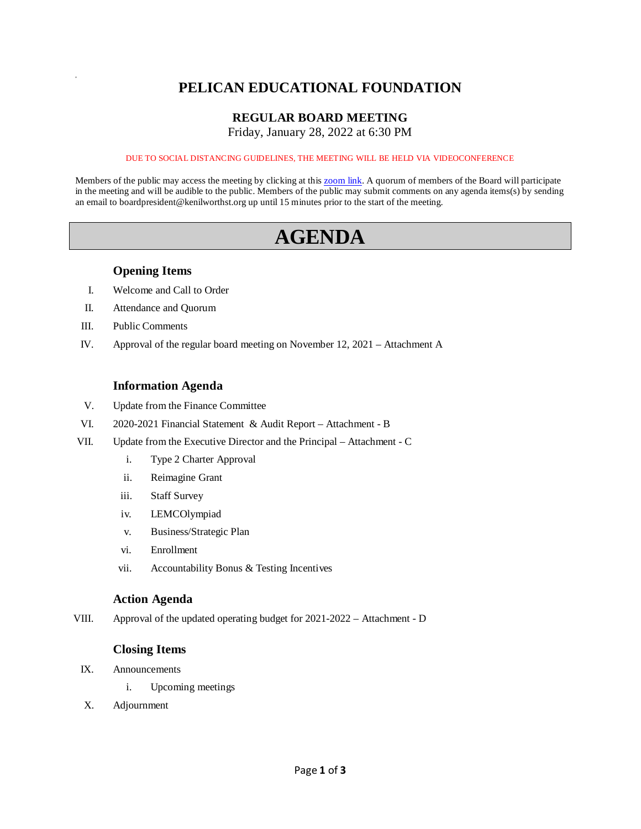## **PELICAN EDUCATIONAL FOUNDATION**

### **REGULAR BOARD MEETING**

Friday, January 28, 2022 at 6:30 PM

#### DUE TO SOCIAL DISTANCING GUIDELINES, THE MEETING WILL BE HELD VIA VIDEOCONFERENCE

Members of the public may access the meeting by clicking at this [zoom link.](https://kenilworthst-org.zoom.us/j/84452784209?pwd=UzhaOThDOTlBWitROFNxR3F5MlRkQT09) A quorum of members of the Board will participate in the meeting and will be audible to the public. Members of the public may submit comments on any agenda items(s) by sending an email to boardpresident@kenilworthst.org up until 15 minutes prior to the start of the meeting.

# **AGENDA**

#### **Opening Items**

- I. Welcome and Call to Order
- II. Attendance and Quorum
- III. Public Comments

a

IV. Approval of the regular board meeting on November 12, 2021 – Attachment A

#### **Information Agenda**

- V. Update from the Finance Committee
- VI. 2020-2021 Financial Statement & Audit Report Attachment B
- VII. Update from the Executive Director and the Principal Attachment C
	- i. Type 2 Charter Approval
	- ii. Reimagine Grant
	- iii. Staff Survey
	- iv. LEMCOlympiad
	- v. Business/Strategic Plan
	- vi. Enrollment
	- vii. Accountability Bonus & Testing Incentives

#### **Action Agenda**

VIII. Approval of the updated operating budget for 2021-2022 – Attachment - D

#### **Closing Items**

- IX. Announcements
	- i. Upcoming meetings
- X. Adjournment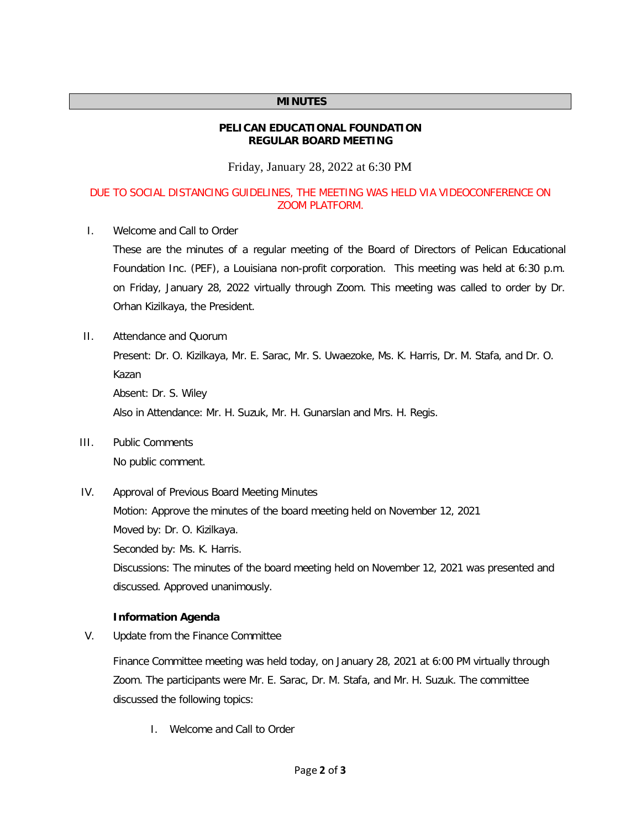#### **MINUTES**

#### **PELICAN EDUCATIONAL FOUNDATION REGULAR BOARD MEETING**

Friday, January 28, 2022 at 6:30 PM

#### DUE TO SOCIAL DISTANCING GUIDELINES, THE MEETING WAS HELD VIA VIDEOCONFERENCE ON ZOOM PLATFORM.

I. Welcome and Call to Order

These are the minutes of a regular meeting of the Board of Directors of Pelican Educational Foundation Inc. (PEF), a Louisiana non-profit corporation. This meeting was held at 6:30 p.m. on Friday, January 28, 2022 virtually through Zoom. This meeting was called to order by Dr. Orhan Kizilkaya, the President.

II. Attendance and Quorum

Present: Dr. O. Kizilkaya, Mr. E. Sarac, Mr. S. Uwaezoke, Ms. K. Harris, Dr. M. Stafa, and Dr. O. Kazan Absent: Dr. S. Wiley Also in Attendance: Mr. H. Suzuk, Mr. H. Gunarslan and Mrs. H. Regis.

- III. Public Comments No public comment.
- IV. Approval of Previous Board Meeting Minutes

Motion: Approve the minutes of the board meeting held on November 12, 2021 Moved by: Dr. O. Kizilkaya.

Seconded by: Ms. K. Harris.

Discussions: The minutes of the board meeting held on November 12, 2021 was presented and discussed. Approved unanimously.

#### **Information Agenda**

V. Update from the Finance Committee

Finance Committee meeting was held today, on January 28, 2021 at 6:00 PM virtually through Zoom. The participants were Mr. E. Sarac, Dr. M. Stafa, and Mr. H. Suzuk. The committee discussed the following topics:

I. Welcome and Call to Order